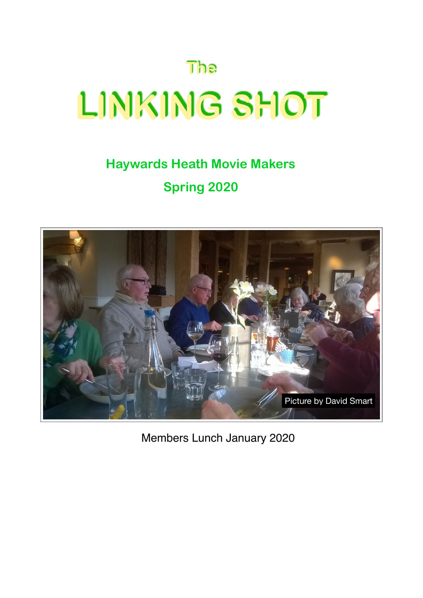# **The LINKING SHOT**

## **Haywards Heath Movie Makers Spring 2020**



Members Lunch January 2020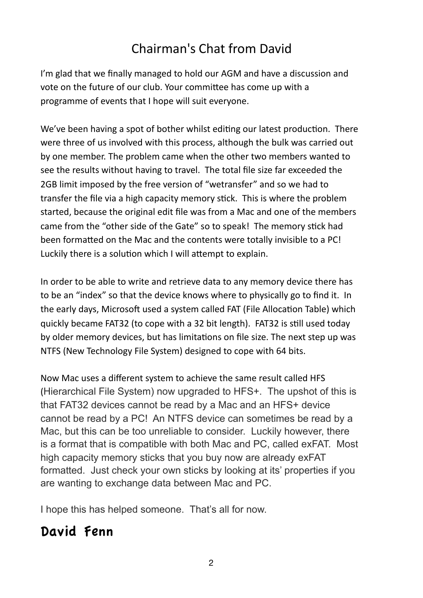## Chairman's Chat from David

I'm glad that we finally managed to hold our AGM and have a discussion and vote on the future of our club. Your committee has come up with a programme of events that I hope will suit everyone.

We've been having a spot of bother whilst editing our latest production. There were three of us involved with this process, although the bulk was carried out by one member. The problem came when the other two members wanted to see the results without having to travel. The total file size far exceeded the 2GB limit imposed by the free version of "wetransfer" and so we had to transfer the file via a high capacity memory stick. This is where the problem started, because the original edit file was from a Mac and one of the members came from the "other side of the Gate" so to speak! The memory stick had been formatted on the Mac and the contents were totally invisible to a PC! Luckily there is a solution which I will attempt to explain.

In order to be able to write and retrieve data to any memory device there has to be an "index" so that the device knows where to physically go to find it. In the early days, Microsoft used a system called FAT (File Allocation Table) which quickly became FAT32 (to cope with a 32 bit length). FAT32 is still used today by older memory devices, but has limitations on file size. The next step up was NTFS (New Technology File System) designed to cope with 64 bits.

Now Mac uses a different system to achieve the same result called HFS (Hierarchical File System) now upgraded to HFS+. The upshot of this is that FAT32 devices cannot be read by a Mac and an HFS+ device cannot be read by a PC! An NTFS device can sometimes be read by a Mac, but this can be too unreliable to consider. Luckily however, there is a format that is compatible with both Mac and PC, called exFAT. Most high capacity memory sticks that you buy now are already exFAT formatted. Just check your own sticks by looking at its' properties if you are wanting to exchange data between Mac and PC.

I hope this has helped someone. That's all for now.

## David Fenn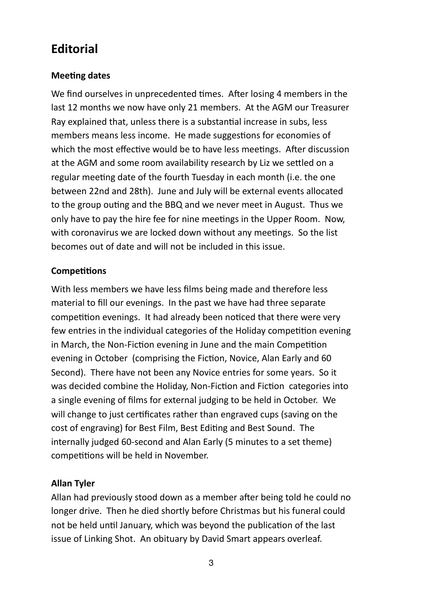### **Editorial**

#### **Meeting dates**

We find ourselves in unprecedented times. After losing 4 members in the last 12 months we now have only 21 members. At the AGM our Treasurer Ray explained that, unless there is a substantial increase in subs, less members means less income. He made suggestions for economies of which the most effective would be to have less meetings. After discussion at the AGM and some room availability research by Liz we settled on a regular meeting date of the fourth Tuesday in each month (i.e. the one between 22nd and 28th). June and July will be external events allocated to the group outing and the BBQ and we never meet in August. Thus we only have to pay the hire fee for nine meetings in the Upper Room. Now, with coronavirus we are locked down without any meetings. So the list becomes out of date and will not be included in this issue.

#### **Competitions**

With less members we have less films being made and therefore less material to fill our evenings. In the past we have had three separate competition evenings. It had already been noticed that there were very few entries in the individual categories of the Holiday competition evening in March, the Non-Fiction evening in June and the main Competition evening in October (comprising the Fiction, Novice, Alan Early and 60 Second). There have not been any Novice entries for some years. So it was decided combine the Holiday, Non-Fiction and Fiction categories into a single evening of films for external judging to be held in October. We will change to just certificates rather than engraved cups (saving on the cost of engraving) for Best Film, Best Editing and Best Sound. The internally judged 60-second and Alan Early (5 minutes to a set theme) competitions will be held in November.

#### **Allan Tyler**

Allan had previously stood down as a member after being told he could no longer drive. Then he died shortly before Christmas but his funeral could not be held until January, which was beyond the publication of the last issue of Linking Shot. An obituary by David Smart appears overleaf.